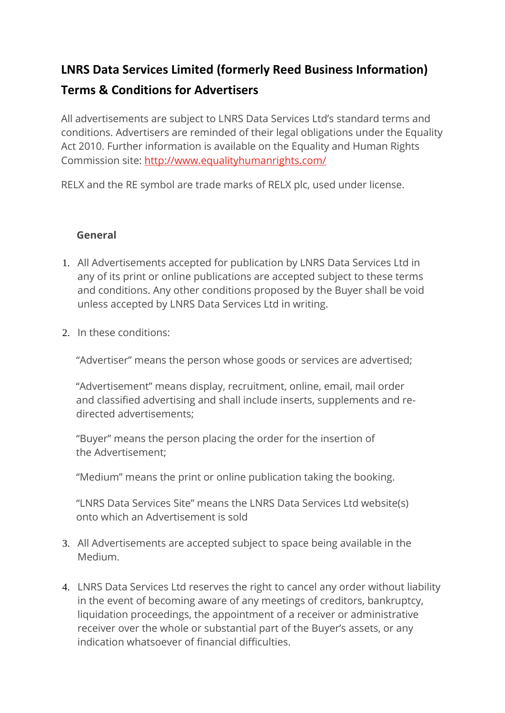# **LNRS Data Services Limited (formerly Reed Business Information)**

# **Terms & Conditions for Advertisers**

All advertisements are subject to LNRS Data Services Ltd's standard terms and conditions. Advertisers are reminded of their legal obligations under the Equality Act 2010. Further information is available on the Equality and Human Rights Commission site: http://www.equalityhumanrights.com/

RELX and the RE symbol are trade marks of RELX plc, used under license.

#### **General**

- 1. All Advertisements accepted for publication by LNRS Data Services Ltd in any of its print or online publications are accepted subject to these terms and conditions. Any other conditions proposed by the Buyer shall be void unless accepted by LNRS Data Services Ltd in writing.
- 2. In these conditions:

"Advertiser" means the person whose goods or services are advertised;

"Advertisement" means display, recruitment, online, email, mail order and classified advertising and shall include inserts, supplements and redirected advertisements;

"Buyer" means the person placing the order for the insertion of the Advertisement;

"Medium" means the print or online publication taking the booking.

"LNRS Data Services Site" means the LNRS Data Services Ltd website(s) onto which an Advertisement is sold

- 3. All Advertisements are accepted subject to space being available in the Medium.
- 4. LNRS Data Services Ltd reserves the right to cancel any order without liability in the event of becoming aware of any meetings of creditors, bankruptcy, liquidation proceedings, the appointment of a receiver or administrative receiver over the whole or substantial part of the Buyer's assets, or any indication whatsoever of financial difficulties.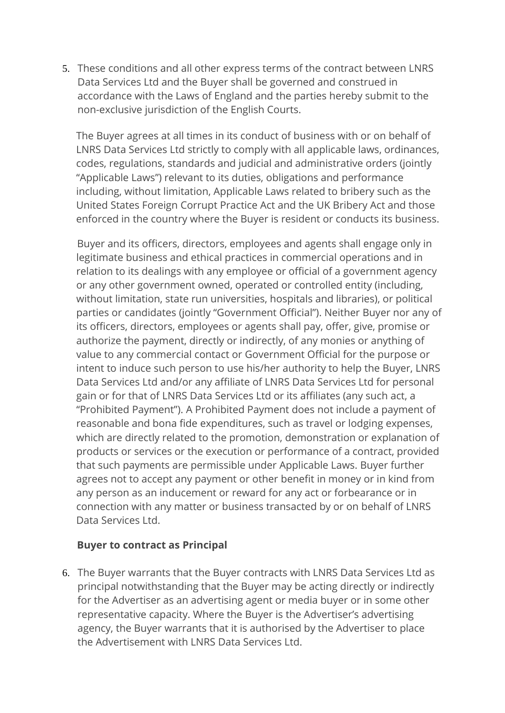5. These conditions and all other express terms of the contract between LNRS Data Services Ltd and the Buyer shall be governed and construed in accordance with the Laws of England and the parties hereby submit to the non-exclusive jurisdiction of the English Courts.

The Buyer agrees at all times in its conduct of business with or on behalf of LNRS Data Services Ltd strictly to comply with all applicable laws, ordinances, codes, regulations, standards and judicial and administrative orders (jointly "Applicable Laws") relevant to its duties, obligations and performance including, without limitation, Applicable Laws related to bribery such as the United States Foreign Corrupt Practice Act and the UK Bribery Act and those enforced in the country where the Buyer is resident or conducts its business.

Buyer and its officers, directors, employees and agents shall engage only in legitimate business and ethical practices in commercial operations and in relation to its dealings with any employee or official of a government agency or any other government owned, operated or controlled entity (including, without limitation, state run universities, hospitals and libraries), or political parties or candidates (jointly "Government Official"). Neither Buyer nor any of its officers, directors, employees or agents shall pay, offer, give, promise or authorize the payment, directly or indirectly, of any monies or anything of value to any commercial contact or Government Official for the purpose or intent to induce such person to use his/her authority to help the Buyer, LNRS Data Services Ltd and/or any affiliate of LNRS Data Services Ltd for personal gain or for that of LNRS Data Services Ltd or its affiliates (any such act, a "Prohibited Payment"). A Prohibited Payment does not include a payment of reasonable and bona fide expenditures, such as travel or lodging expenses, which are directly related to the promotion, demonstration or explanation of products or services or the execution or performance of a contract, provided that such payments are permissible under Applicable Laws. Buyer further agrees not to accept any payment or other benefit in money or in kind from any person as an inducement or reward for any act or forbearance or in connection with any matter or business transacted by or on behalf of LNRS Data Services Ltd.

#### **Buyer to contract as Principal**

6. The Buyer warrants that the Buyer contracts with LNRS Data Services Ltd as principal notwithstanding that the Buyer may be acting directly or indirectly for the Advertiser as an advertising agent or media buyer or in some other representative capacity. Where the Buyer is the Advertiser's advertising agency, the Buyer warrants that it is authorised by the Advertiser to place the Advertisement with LNRS Data Services Ltd.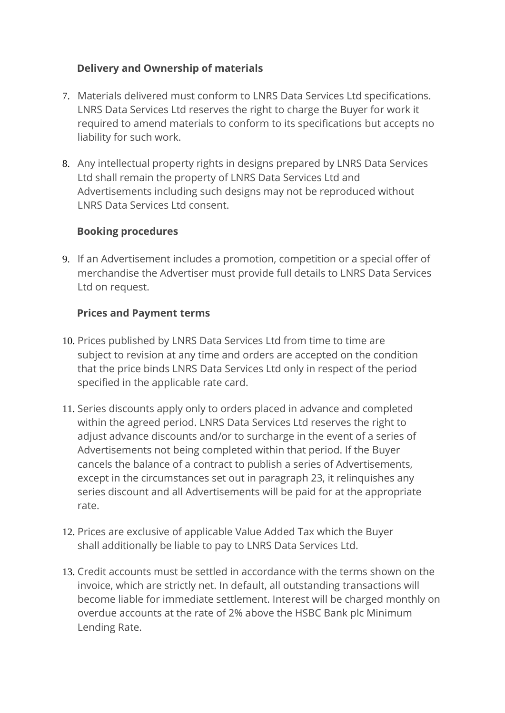### **Delivery and Ownership of materials**

- 7. Materials delivered must conform to LNRS Data Services Ltd specifications. LNRS Data Services Ltd reserves the right to charge the Buyer for work it required to amend materials to conform to its specifications but accepts no liability for such work.
- 8. Any intellectual property rights in designs prepared by LNRS Data Services Ltd shall remain the property of LNRS Data Services Ltd and Advertisements including such designs may not be reproduced without LNRS Data Services Ltd consent.

#### **Booking procedures**

9. If an Advertisement includes a promotion, competition or a special offer of merchandise the Advertiser must provide full details to LNRS Data Services Ltd on request.

#### **Prices and Payment terms**

- 10. Prices published by LNRS Data Services Ltd from time to time are subject to revision at any time and orders are accepted on the condition that the price binds LNRS Data Services Ltd only in respect of the period specified in the applicable rate card.
- 11. Series discounts apply only to orders placed in advance and completed within the agreed period. LNRS Data Services Ltd reserves the right to adjust advance discounts and/or to surcharge in the event of a series of Advertisements not being completed within that period. If the Buyer cancels the balance of a contract to publish a series of Advertisements, except in the circumstances set out in paragraph 23, it relinquishes any series discount and all Advertisements will be paid for at the appropriate rate.
- 12. Prices are exclusive of applicable Value Added Tax which the Buyer shall additionally be liable to pay to LNRS Data Services Ltd.
- 13. Credit accounts must be settled in accordance with the terms shown on the invoice, which are strictly net. In default, all outstanding transactions will become liable for immediate settlement. Interest will be charged monthly on overdue accounts at the rate of 2% above the HSBC Bank plc Minimum Lending Rate.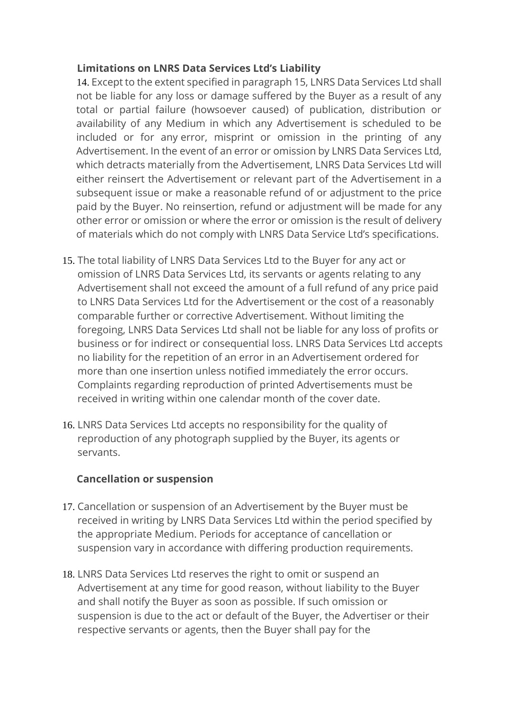#### **Limitations on LNRS Data Services Ltd's Liability**

14. Except to the extent specified in paragraph 15, LNRS Data Services Ltd shall not be liable for any loss or damage suffered by the Buyer as a result of any total or partial failure (howsoever caused) of publication, distribution or availability of any Medium in which any Advertisement is scheduled to be included or for any error, misprint or omission in the printing of any Advertisement. In the event of an error or omission by LNRS Data Services Ltd, which detracts materially from the Advertisement, LNRS Data Services Ltd will either reinsert the Advertisement or relevant part of the Advertisement in a subsequent issue or make a reasonable refund of or adjustment to the price paid by the Buyer. No reinsertion, refund or adjustment will be made for any other error or omission or where the error or omission is the result of delivery of materials which do not comply with LNRS Data Service Ltd's specifications.

- 15. The total liability of LNRS Data Services Ltd to the Buyer for any act or omission of LNRS Data Services Ltd, its servants or agents relating to any Advertisement shall not exceed the amount of a full refund of any price paid to LNRS Data Services Ltd for the Advertisement or the cost of a reasonably comparable further or corrective Advertisement. Without limiting the foregoing, LNRS Data Services Ltd shall not be liable for any loss of profits or business or for indirect or consequential loss. LNRS Data Services Ltd accepts no liability for the repetition of an error in an Advertisement ordered for more than one insertion unless notified immediately the error occurs. Complaints regarding reproduction of printed Advertisements must be received in writing within one calendar month of the cover date.
- 16. LNRS Data Services Ltd accepts no responsibility for the quality of reproduction of any photograph supplied by the Buyer, its agents or servants.

#### **Cancellation or suspension**

- 17. Cancellation or suspension of an Advertisement by the Buyer must be received in writing by LNRS Data Services Ltd within the period specified by the appropriate Medium. Periods for acceptance of cancellation or suspension vary in accordance with differing production requirements.
- 18. LNRS Data Services Ltd reserves the right to omit or suspend an Advertisement at any time for good reason, without liability to the Buyer and shall notify the Buyer as soon as possible. If such omission or suspension is due to the act or default of the Buyer, the Advertiser or their respective servants or agents, then the Buyer shall pay for the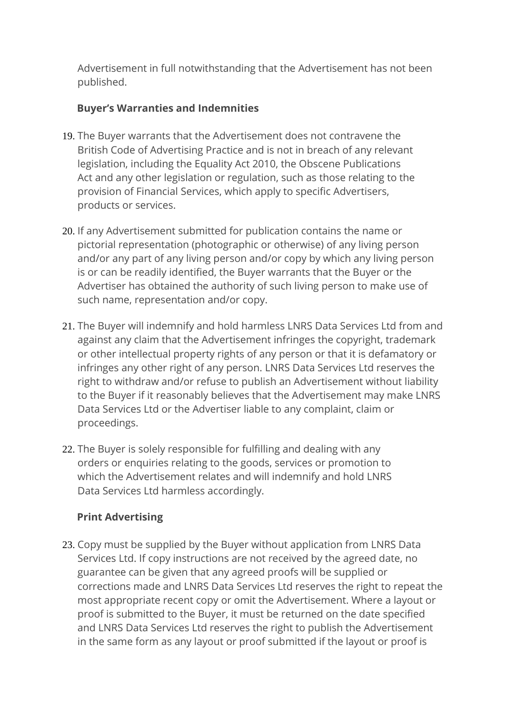Advertisement in full notwithstanding that the Advertisement has not been published.

#### **Buyer's Warranties and Indemnities**

- 19. The Buyer warrants that the Advertisement does not contravene the British Code of Advertising Practice and is not in breach of any relevant legislation, including the Equality Act 2010, the Obscene Publications Act and any other legislation or regulation, such as those relating to the provision of Financial Services, which apply to specific Advertisers, products or services.
- 20. If any Advertisement submitted for publication contains the name or pictorial representation (photographic or otherwise) of any living person and/or any part of any living person and/or copy by which any living person is or can be readily identified, the Buyer warrants that the Buyer or the Advertiser has obtained the authority of such living person to make use of such name, representation and/or copy.
- 21. The Buyer will indemnify and hold harmless LNRS Data Services Ltd from and against any claim that the Advertisement infringes the copyright, trademark or other intellectual property rights of any person or that it is defamatory or infringes any other right of any person. LNRS Data Services Ltd reserves the right to withdraw and/or refuse to publish an Advertisement without liability to the Buyer if it reasonably believes that the Advertisement may make LNRS Data Services Ltd or the Advertiser liable to any complaint, claim or proceedings.
- 22. The Buyer is solely responsible for fulfilling and dealing with any orders or enquiries relating to the goods, services or promotion to which the Advertisement relates and will indemnify and hold LNRS Data Services Ltd harmless accordingly.

# **Print Advertising**

23. Copy must be supplied by the Buyer without application from LNRS Data Services Ltd. If copy instructions are not received by the agreed date, no guarantee can be given that any agreed proofs will be supplied or corrections made and LNRS Data Services Ltd reserves the right to repeat the most appropriate recent copy or omit the Advertisement. Where a layout or proof is submitted to the Buyer, it must be returned on the date specified and LNRS Data Services Ltd reserves the right to publish the Advertisement in the same form as any layout or proof submitted if the layout or proof is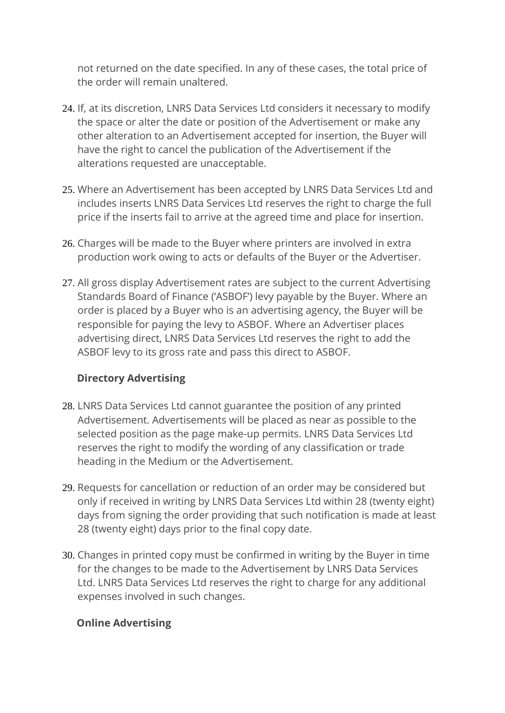not returned on the date specified. In any of these cases, the total price of the order will remain unaltered.

- 24. If, at its discretion, LNRS Data Services Ltd considers it necessary to modify the space or alter the date or position of the Advertisement or make any other alteration to an Advertisement accepted for insertion, the Buyer will have the right to cancel the publication of the Advertisement if the alterations requested are unacceptable.
- 25. Where an Advertisement has been accepted by LNRS Data Services Ltd and includes inserts LNRS Data Services Ltd reserves the right to charge the full price if the inserts fail to arrive at the agreed time and place for insertion.
- 26. Charges will be made to the Buyer where printers are involved in extra production work owing to acts or defaults of the Buyer or the Advertiser.
- 27. All gross display Advertisement rates are subject to the current Advertising Standards Board of Finance ('ASBOF') levy payable by the Buyer. Where an order is placed by a Buyer who is an advertising agency, the Buyer will be responsible for paying the levy to ASBOF. Where an Advertiser places advertising direct, LNRS Data Services Ltd reserves the right to add the ASBOF levy to its gross rate and pass this direct to ASBOF.

#### **Directory Advertising**

- 28. LNRS Data Services Ltd cannot guarantee the position of any printed Advertisement. Advertisements will be placed as near as possible to the selected position as the page make-up permits. LNRS Data Services Ltd reserves the right to modify the wording of any classification or trade heading in the Medium or the Advertisement.
- 29. Requests for cancellation or reduction of an order may be considered but only if received in writing by LNRS Data Services Ltd within 28 (twenty eight) days from signing the order providing that such notification is made at least 28 (twenty eight) days prior to the final copy date.
- 30. Changes in printed copy must be confirmed in writing by the Buyer in time for the changes to be made to the Advertisement by LNRS Data Services Ltd. LNRS Data Services Ltd reserves the right to charge for any additional expenses involved in such changes.

# **Online Advertising**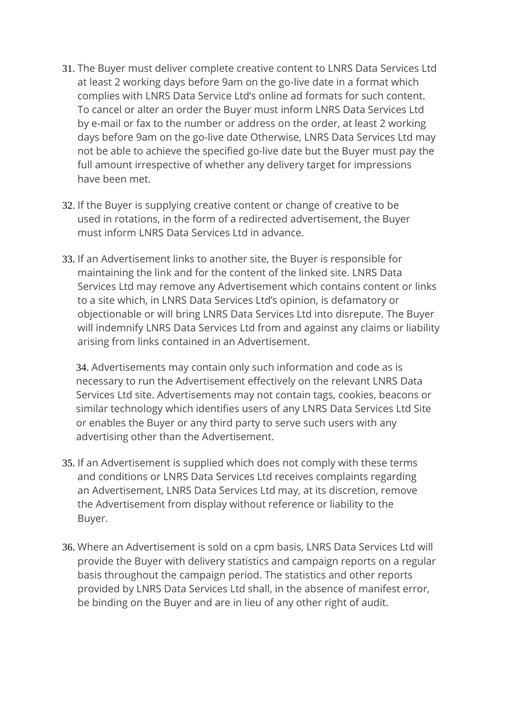- 31. The Buyer must deliver complete creative content to LNRS Data Services Ltd at least 2 working days before 9am on the go-live date in a format which complies with LNRS Data Service Ltd's online ad formats for such content. To cancel or alter an order the Buyer must inform LNRS Data Services Ltd by e-mail or fax to the number or address on the order, at least 2 working days before 9am on the go-live date Otherwise, LNRS Data Services Ltd may not be able to achieve the specified go-live date but the Buyer must pay the full amount irrespective of whether any delivery target for impressions have been met.
- 32. If the Buyer is supplying creative content or change of creative to be used in rotations, in the form of a redirected advertisement, the Buyer must inform LNRS Data Services Ltd in advance.
- 33. If an Advertisement links to another site, the Buyer is responsible for maintaining the link and for the content of the linked site. LNRS Data Services Ltd may remove any Advertisement which contains content or links to a site which, in LNRS Data Services Ltd's opinion, is defamatory or objectionable or will bring LNRS Data Services Ltd into disrepute. The Buyer will indemnify LNRS Data Services Ltd from and against any claims or liability arising from links contained in an Advertisement.

34. Advertisements may contain only such information and code as is necessary to run the Advertisement effectively on the relevant LNRS Data Services Ltd site. Advertisements may not contain tags, cookies, beacons or similar technology which identifies users of any LNRS Data Services Ltd Site or enables the Buyer or any third party to serve such users with any advertising other than the Advertisement.

- 35. If an Advertisement is supplied which does not comply with these terms and conditions or LNRS Data Services Ltd receives complaints regarding an Advertisement, LNRS Data Services Ltd may, at its discretion, remove the Advertisement from display without reference or liability to the Buyer.
- 36. Where an Advertisement is sold on a cpm basis, LNRS Data Services Ltd will provide the Buyer with delivery statistics and campaign reports on a regular basis throughout the campaign period. The statistics and other reports provided by LNRS Data Services Ltd shall, in the absence of manifest error, be binding on the Buyer and are in lieu of any other right of audit.